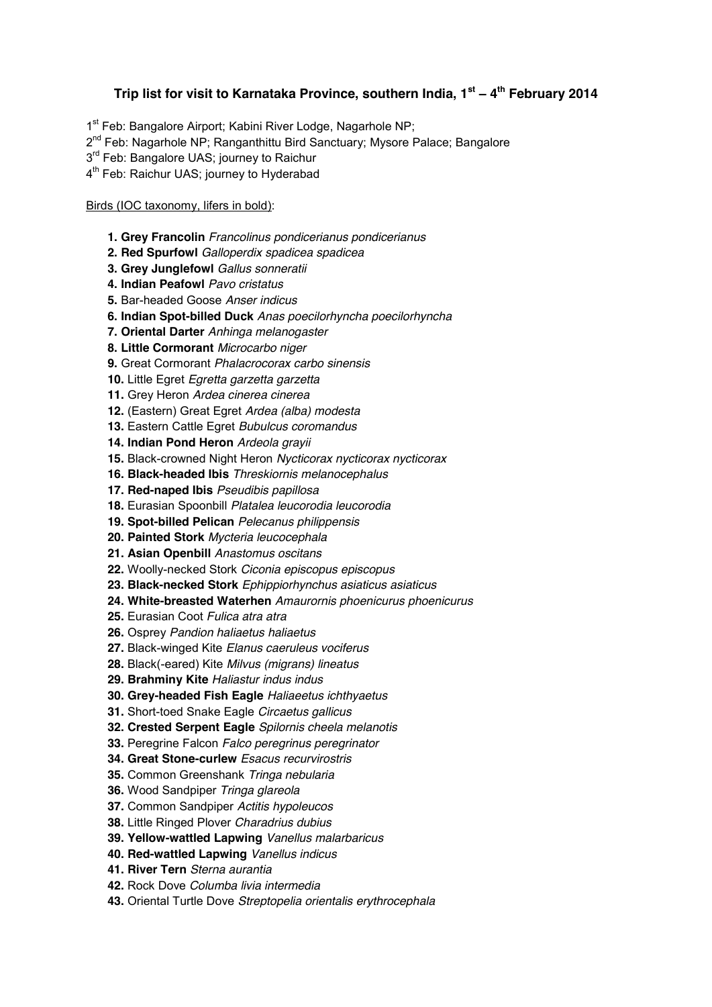## **Trip list for visit to Karnataka Province, southern India, 1st ± 4th February 2014**

1<sup>st</sup> Feb: Bangalore Airport; Kabini River Lodge, Nagarhole NP;

- 2<sup>nd</sup> Feb: Nagarhole NP: Ranganthittu Bird Sanctuary; Mysore Palace: Bangalore
- $3<sup>rd</sup>$  Feb: Bangalore UAS; journey to Raichur
- 4<sup>th</sup> Feb: Raichur UAS; journey to Hyderabad

## Birds (IOC taxonomy, lifers in bold):

- **1. Grey Francolin** *Francolinus pondicerianus pondicerianus*
- **2. Red Spurfowl** *Galloperdix spadicea spadicea*
- **3. Grey Junglefowl** *Gallus sonneratii*
- **4. Indian Peafowl** *Pavo cristatus*
- **5.** Bar-headed Goose *Anser indicus*
- **6. Indian Spot-billed Duck** *Anas poecilorhyncha poecilorhyncha*
- **7. Oriental Darter** *Anhinga melanogaster*
- **8. Little Cormorant** *Microcarbo niger*
- **9.** Great Cormorant *Phalacrocorax carbo sinensis*
- **10.** Little Egret *Egretta garzetta garzetta*
- **11.** Grey Heron *Ardea cinerea cinerea*
- **12.** (Eastern) Great Egret *Ardea (alba) modesta*
- **13.** Eastern Cattle Egret *Bubulcus coromandus*
- **14. Indian Pond Heron** *Ardeola grayii*
- **15.** Black-crowned Night Heron *Nycticorax nycticorax nycticorax*
- **16. Black-headed Ibis** *Threskiornis melanocephalus*
- **17. Red-naped Ibis** *Pseudibis papillosa*
- **18.** Eurasian Spoonbill *Platalea leucorodia leucorodia*
- **19. Spot-billed Pelican** *Pelecanus philippensis*
- **20. Painted Stork** *Mycteria leucocephala*
- **21. Asian Openbill** *Anastomus oscitans*
- **22.** Woolly-necked Stork *Ciconia episcopus episcopus*
- **23. Black-necked Stork** *Ephippiorhynchus asiaticus asiaticus*
- **24. White-breasted Waterhen** *Amaurornis phoenicurus phoenicurus*
- **25.** Eurasian Coot *Fulica atra atra*
- **26.** Osprey *Pandion haliaetus haliaetus*
- **27.** Black-winged Kite *Elanus caeruleus vociferus*
- **28.** Black(-eared) Kite *Milvus (migrans) lineatus*
- **29. Brahminy Kite** *Haliastur indus indus*
- **30. Grey-headed Fish Eagle** *Haliaeetus ichthyaetus*
- **31.** Short-toed Snake Eagle *Circaetus gallicus*
- **32. Crested Serpent Eagle** *Spilornis cheela melanotis*
- **33.** Peregrine Falcon *Falco peregrinus peregrinator*
- **34. Great Stone-curlew** *Esacus recurvirostris*
- **35.** Common Greenshank *Tringa nebularia*
- **36.** Wood Sandpiper *Tringa glareola*
- **37.** Common Sandpiper *Actitis hypoleucos*
- **38.** Little Ringed Plover *Charadrius dubius*
- **39. Yellow-wattled Lapwing** *Vanellus malarbaricus*
- **40. Red-wattled Lapwing** *Vanellus indicus*
- **41. River Tern** *Sterna aurantia*
- **42.** Rock Dove *Columba livia intermedia*
- **43.** Oriental Turtle Dove *Streptopelia orientalis erythrocephala*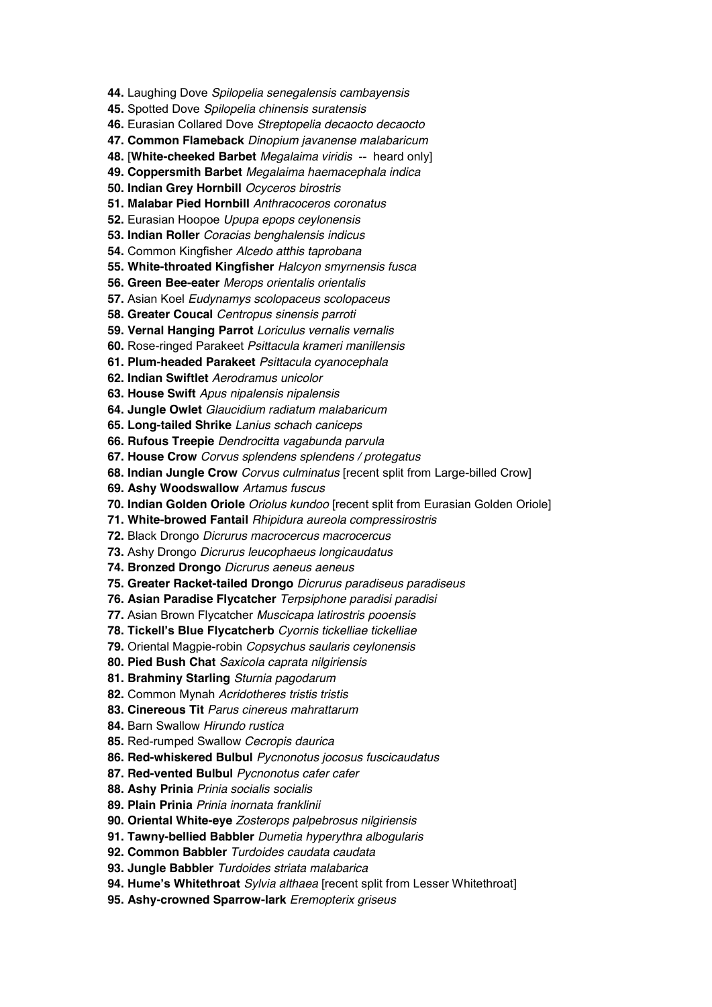**44.** Laughing Dove *Spilopelia senegalensis cambayensis*

**45.** Spotted Dove *Spilopelia chinensis suratensis*

**46.** Eurasian Collared Dove *Streptopelia decaocto decaocto*

**47. Common Flameback** *Dinopium javanense malabaricum*

**48.** [**White-cheeked Barbet** *Megalaima viridis* -- heard only]

**49. Coppersmith Barbet** *Megalaima haemacephala indica*

**50. Indian Grey Hornbill** *Ocyceros birostris*

**51. Malabar Pied Hornbill** *Anthracoceros coronatus*

**52.** Eurasian Hoopoe *Upupa epops ceylonensis*

**53. Indian Roller** *Coracias benghalensis indicus*

**54.** Common Kingfisher *Alcedo atthis taprobana*

**55. White-throated Kingfisher** *Halcyon smyrnensis fusca*

**56. Green Bee-eater** *Merops orientalis orientalis*

**57.** Asian Koel *Eudynamys scolopaceus scolopaceus*

**58. Greater Coucal** *Centropus sinensis parroti*

**59. Vernal Hanging Parrot** *Loriculus vernalis vernalis*

**60.** Rose-ringed Parakeet *Psittacula krameri manillensis*

**61. Plum-headed Parakeet** *Psittacula cyanocephala*

**62. Indian Swiftlet** *Aerodramus unicolor*

**63. House Swift** *Apus nipalensis nipalensis*

**64. Jungle Owlet** *Glaucidium radiatum malabaricum*

**65. Long-tailed Shrike** *Lanius schach caniceps*

**66. Rufous Treepie** *Dendrocitta vagabunda parvula*

**67. House Crow** *Corvus splendens splendens / protegatus*

**68. Indian Jungle Crow** *Corvus culminatus* [recent split from Large-billed Crow]

**69. Ashy Woodswallow** *Artamus fuscus*

**70. Indian Golden Oriole** *Oriolus kundoo* [recent split from Eurasian Golden Oriole]

**71. White-browed Fantail** *Rhipidura aureola compressirostris*

**72.** Black Drongo *Dicrurus macrocercus macrocercus*

**73.** Ashy Drongo *Dicrurus leucophaeus longicaudatus*

**74. Bronzed Drongo** *Dicrurus aeneus aeneus*

**75. Greater Racket-tailed Drongo** *Dicrurus paradiseus paradiseus*

**76. Asian Paradise Flycatcher** *Terpsiphone paradisi paradisi*

**77.** Asian Brown Flycatcher *Muscicapa latirostris pooensis*

**78. Tickell's Blue Flycatcherb** Cyornis tickelliae tickelliae

**79.** Oriental Magpie-robin *Copsychus saularis ceylonensis*

**80. Pied Bush Chat** *Saxicola caprata nilgiriensis*

**81. Brahminy Starling** *Sturnia pagodarum*

**82.** Common Mynah *Acridotheres tristis tristis*

**83. Cinereous Tit** *Parus cinereus mahrattarum*

**84.** Barn Swallow *Hirundo rustica*

**85.** Red-rumped Swallow *Cecropis daurica*

**86. Red-whiskered Bulbul** *Pycnonotus jocosus fuscicaudatus*

**87. Red-vented Bulbul** *Pycnonotus cafer cafer*

**88. Ashy Prinia** *Prinia socialis socialis*

**89. Plain Prinia** *Prinia inornata franklinii*

**90. Oriental White-eye** *Zosterops palpebrosus nilgiriensis*

**91. Tawny-bellied Babbler** *Dumetia hyperythra albogularis*

**92. Common Babbler** *Turdoides caudata caudata*

**93. Jungle Babbler** *Turdoides striata malabarica*

**94. Hume's Whitethroat** Sylvia althaea [recent split from Lesser Whitethroat]

**95. Ashy-crowned Sparrow-lark** *Eremopterix griseus*